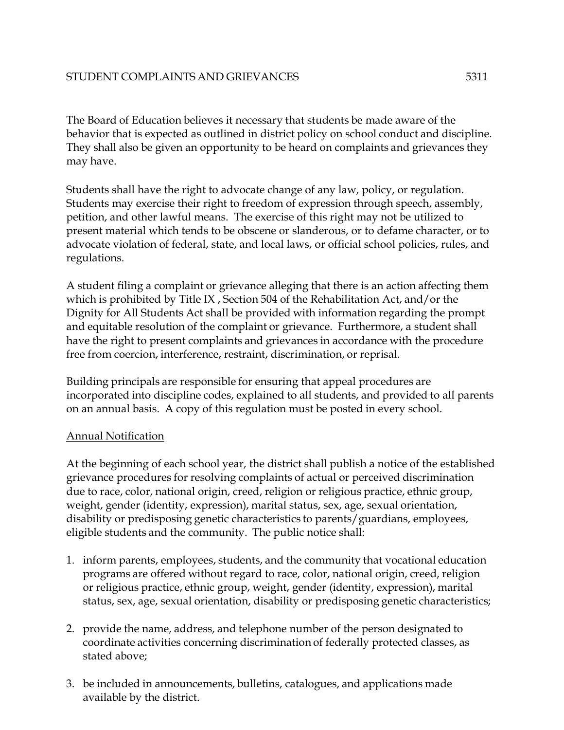The Board of Education believes it necessary that students be made aware of the behavior that is expected as outlined in district policy on school conduct and discipline. They shall also be given an opportunity to be heard on complaints and grievances they may have.

Students shall have the right to advocate change of any law, policy, or regulation. Students may exercise their right to freedom of expression through speech, assembly, petition, and other lawful means. The exercise of this right may not be utilized to present material which tends to be obscene or slanderous, or to defame character, or to advocate violation of federal, state, and local laws, or official school policies, rules, and regulations.

A student filing a complaint or grievance alleging that there is an action affecting them which is prohibited by Title IX , Section 504 of the Rehabilitation Act, and/or the Dignity for All Students Act shall be provided with information regarding the prompt and equitable resolution of the complaint or grievance. Furthermore, a student shall have the right to present complaints and grievances in accordance with the procedure free from coercion, interference, restraint, discrimination, or reprisal.

Building principals are responsible for ensuring that appeal procedures are incorporated into discipline codes, explained to all students, and provided to all parents on an annual basis. A copy of this regulation must be posted in every school.

## Annual Notification

At the beginning of each school year, the district shall publish a notice of the established grievance procedures for resolving complaints of actual or perceived discrimination due to race, color, national origin, creed, religion or religious practice, ethnic group, weight, gender (identity, expression), marital status, sex, age, sexual orientation, disability or predisposing genetic characteristics to parents/guardians, employees, eligible students and the community. The public notice shall:

- 1. inform parents, employees, students, and the community that vocational education programs are offered without regard to race, color, national origin, creed, religion or religious practice, ethnic group, weight, gender (identity, expression), marital status, sex, age, sexual orientation, disability or predisposing genetic characteristics;
- 2. provide the name, address, and telephone number of the person designated to coordinate activities concerning discrimination of federally protected classes, as stated above;
- 3. be included in announcements, bulletins, catalogues, and applications made available by the district.